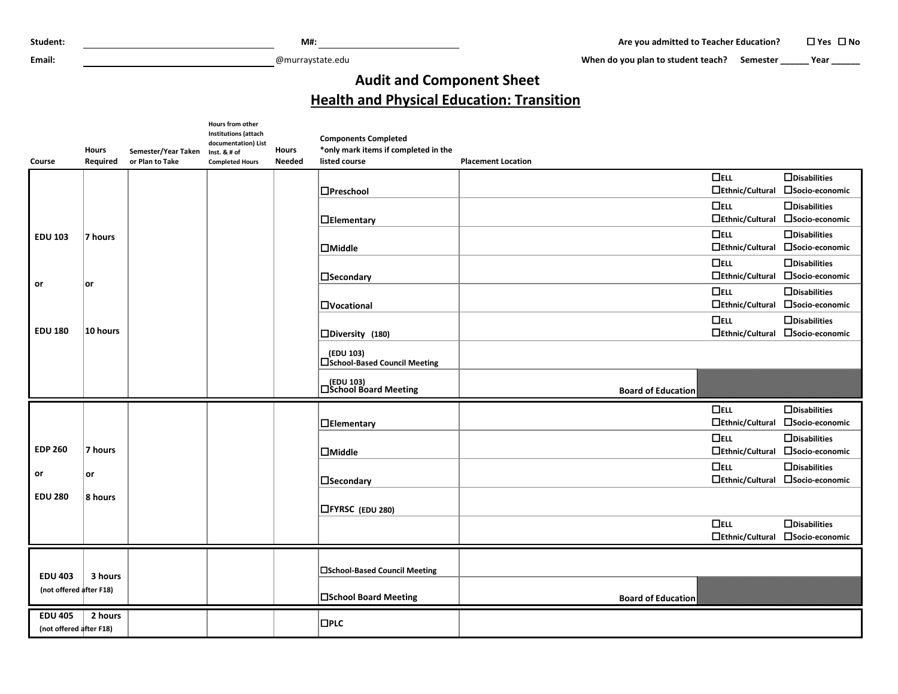**Email:** @murraystate.edu

When do you plan to student teach? Semester **\_\_\_\_\_** Year **\_\_\_\_\_** 

## **Audit and Component Sheet Health and Physical Education: Transition**

| Course                  | <b>Hours</b><br>Required | Semester/Year Taken<br>or Plan to Take | <b>Hours from other</b><br><b>Institutions (attach</b><br>documentation) List<br>Inst. & # of<br><b>Completed Hours</b> | <b>Hours</b><br><b>Needed</b> | <b>Components Completed</b><br>*only mark items if completed in the<br>listed course | <b>Placement Location</b> |                        |                     |
|-------------------------|--------------------------|----------------------------------------|-------------------------------------------------------------------------------------------------------------------------|-------------------------------|--------------------------------------------------------------------------------------|---------------------------|------------------------|---------------------|
|                         |                          |                                        |                                                                                                                         |                               |                                                                                      |                           | $\Box$ ELL             | $\Box$ Disabilities |
|                         |                          |                                        |                                                                                                                         |                               | $\Box$ Preschool                                                                     |                           | $\Box$ Ethnic/Cultural | □Socio-economic     |
|                         |                          |                                        |                                                                                                                         |                               |                                                                                      |                           | $\Box$ ELL             | $\Box$ Disabilities |
|                         |                          |                                        |                                                                                                                         |                               | $\Box$ Elementary                                                                    |                           | $\Box$ Ethnic/Cultural | □Socio-economic     |
| <b>EDU 103</b>          | 7 hours                  |                                        |                                                                                                                         |                               |                                                                                      |                           | $\Box$ ELL             | $\Box$ Disabilities |
|                         |                          |                                        |                                                                                                                         |                               | $\Box$ Middle                                                                        |                           | $\Box$ Ethnic/Cultural | □Socio-economic     |
|                         |                          |                                        |                                                                                                                         |                               |                                                                                      |                           | $\Box$ ELL             | $\Box$ Disabilities |
| or                      | ∣or                      |                                        |                                                                                                                         |                               | $\square$ Secondary                                                                  |                           | $\Box$ Ethnic/Cultural | □Socio-economic     |
|                         |                          |                                        |                                                                                                                         |                               |                                                                                      |                           | $\Box$ ELL             | $\Box$ Disabilities |
|                         |                          |                                        |                                                                                                                         |                               | <b>OVocational</b>                                                                   |                           | $\Box$ Ethnic/Cultural | □Socio-economic     |
|                         |                          |                                        |                                                                                                                         |                               |                                                                                      |                           | $\Box$ ELL             | $\Box$ Disabilities |
| <b>EDU 180</b>          | $10$ hours               |                                        |                                                                                                                         |                               | $\square$ Diversity (180)                                                            |                           | $\Box$ Ethnic/Cultural | □Socio-economic     |
|                         |                          |                                        |                                                                                                                         |                               | (EDU 103)<br>□School-Based Council Meeting                                           |                           |                        |                     |
|                         |                          |                                        |                                                                                                                         |                               |                                                                                      |                           |                        |                     |
|                         |                          |                                        |                                                                                                                         |                               | (EDU 103)<br>□School Board Meeting                                                   | <b>Board of Education</b> |                        |                     |
|                         |                          |                                        |                                                                                                                         |                               |                                                                                      |                           | $\Box$ ELL             | $\Box$ Disabilities |
|                         |                          |                                        |                                                                                                                         |                               | $\Box$ Elementary                                                                    |                           | □Ethnic/Cultural       | □Socio-economic     |
|                         |                          |                                        |                                                                                                                         |                               |                                                                                      |                           | $\Box$ ELL             | $\Box$ Disabilities |
| <b>EDP 260</b>          | 7 hours                  |                                        |                                                                                                                         |                               | $\Box$ Middle                                                                        |                           | $\Box$ Ethnic/Cultural | □Socio-economic     |
|                         |                          |                                        |                                                                                                                         |                               |                                                                                      |                           | $\Box$ ELL             | $\Box$ Disabilities |
| or                      | or                       |                                        |                                                                                                                         |                               | <b>N</b> secondary                                                                   |                           | $\Box$ Ethnic/Cultural | □Socio-economic     |
| <b>EDU 280</b>          | 8 hours                  |                                        |                                                                                                                         |                               |                                                                                      |                           |                        |                     |
|                         |                          |                                        |                                                                                                                         |                               | <b>□FYRSC</b> (EDU 280)                                                              |                           |                        |                     |
|                         |                          |                                        |                                                                                                                         |                               |                                                                                      |                           | $\Box$ ELL             | $\Box$ Disabilities |
|                         |                          |                                        |                                                                                                                         |                               |                                                                                      |                           | $\Box$ Ethnic/Cultural | □Socio-economic     |
|                         |                          |                                        |                                                                                                                         |                               |                                                                                      |                           |                        |                     |
|                         |                          |                                        |                                                                                                                         |                               | □School-Based Council Meeting                                                        |                           |                        |                     |
| <b>EDU 403</b>          | 3 hours                  |                                        |                                                                                                                         |                               |                                                                                      |                           |                        |                     |
| (not offered after F18) |                          |                                        |                                                                                                                         |                               | □School Board Meeting                                                                | <b>Board of Education</b> |                        |                     |
| <b>EDU 405</b>          | 2 hours                  |                                        |                                                                                                                         |                               | $\square$ PLC                                                                        |                           |                        |                     |